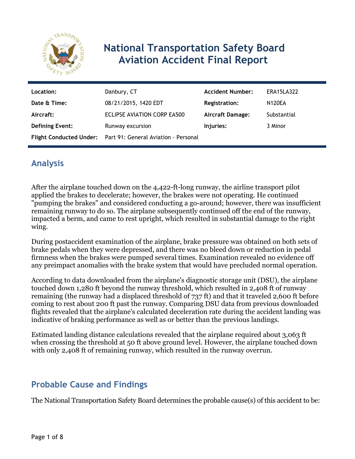

# **National Transportation Safety Board Aviation Accident Final Report**

| Location:              | Danbury, CT                                                  | <b>Accident Number:</b> | <b>ERA15LA322</b> |
|------------------------|--------------------------------------------------------------|-------------------------|-------------------|
| Date & Time:           | 08/21/2015, 1420 EDT                                         | <b>Registration:</b>    | <b>N120EA</b>     |
| Aircraft:              | ECLIPSE AVIATION CORP EA500                                  | <b>Aircraft Damage:</b> | Substantial       |
| <b>Defining Event:</b> | Runway excursion                                             | Injuries:               | 3 Minor           |
|                        | Flight Conducted Under: Part 91: General Aviation - Personal |                         |                   |

# **Analysis**

After the airplane touched down on the 4,422-ft-long runway, the airline transport pilot applied the brakes to decelerate; however, the brakes were not operating. He continued "pumping the brakes" and considered conducting a go-around; however, there was insufficient remaining runway to do so. The airplane subsequently continued off the end of the runway, impacted a berm, and came to rest upright, which resulted in substantial damage to the right wing.

During postaccident examination of the airplane, brake pressure was obtained on both sets of brake pedals when they were depressed, and there was no bleed down or reduction in pedal firmness when the brakes were pumped several times. Examination revealed no evidence off any preimpact anomalies with the brake system that would have precluded normal operation.

According to data downloaded from the airplane's diagnostic storage unit (DSU), the airplane touched down 1,280 ft beyond the runway threshold, which resulted in 2,408 ft of runway remaining (the runway had a displaced threshold of 737 ft) and that it traveled 2,600 ft before coming to rest about 200 ft past the runway. Comparing DSU data from previous downloaded flights revealed that the airplane's calculated deceleration rate during the accident landing was indicative of braking performance as well as or better than the previous landings.

Estimated landing distance calculations revealed that the airplane required about 3,063 ft when crossing the threshold at 50 ft above ground level. However, the airplane touched down with only 2,408 ft of remaining runway, which resulted in the runway overrun.

## **Probable Cause and Findings**

The National Transportation Safety Board determines the probable cause(s) of this accident to be: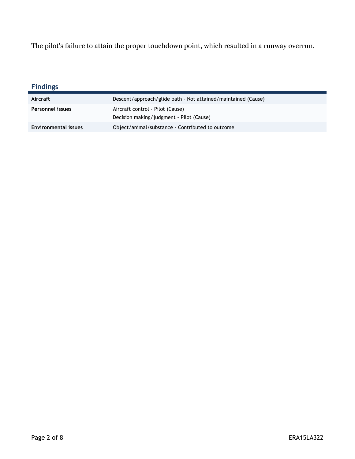The pilot's failure to attain the proper touchdown point, which resulted in a runway overrun.

| <b>Findings</b>             |                                                                              |
|-----------------------------|------------------------------------------------------------------------------|
| Aircraft                    | Descent/approach/glide path - Not attained/maintained (Cause)                |
| Personnel issues            | Aircraft control - Pilot (Cause)<br>Decision making/judgment - Pilot (Cause) |
| <b>Environmental issues</b> | Object/animal/substance - Contributed to outcome                             |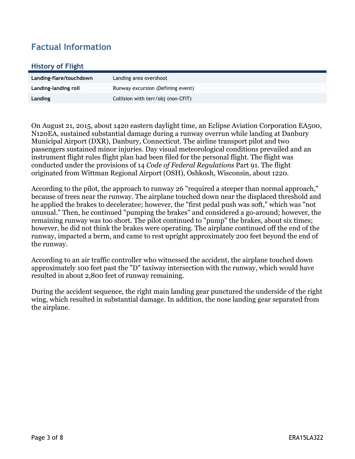# **Factual Information**

#### **History of Flight**

| Landing-flare/touchdown | Landing area overshoot             |
|-------------------------|------------------------------------|
| Landing-landing roll    | Runway excursion (Defining event)  |
| Landing                 | Collision with terr/obj (non-CFIT) |

On August 21, 2015, about 1420 eastern daylight time, an Eclipse Aviation Corporation EA500, N120EA, sustained substantial damage during a runway overrun while landing at Danbury Municipal Airport (DXR), Danbury, Connecticut. The airline transport pilot and two passengers sustained minor injuries. Day visual meteorological conditions prevailed and an instrument flight rules flight plan had been filed for the personal flight. The flight was conducted under the provisions of 14 *Code of Federal Regulations* Part 91. The flight originated from Wittman Regional Airport (OSH), Oshkosh, Wisconsin, about 1220.

According to the pilot, the approach to runway 26 "required a steeper than normal approach," because of trees near the runway. The airplane touched down near the displaced threshold and he applied the brakes to deceleratee; however, the "first pedal push was soft," which was "not unusual." Then, he continued "pumping the brakes" and considered a go-around; however, the remaining runway was too short. The pilot continued to "pump" the brakes, about six times; however, he did not think the brakes were operating. The airplane continued off the end of the runway, impacted a berm, and came to rest upright approximately 200 feet beyond the end of the runway.

According to an air traffic controller who witnessed the accident, the airplane touched down approximately 100 feet past the "D" taxiway intersection with the runway, which would have resulted in about 2,800 feet of runway remaining.

During the accident sequence, the right main landing gear punctured the underside of the right wing, which resulted in substantial damage. In addition, the nose landing gear separated from the airplane.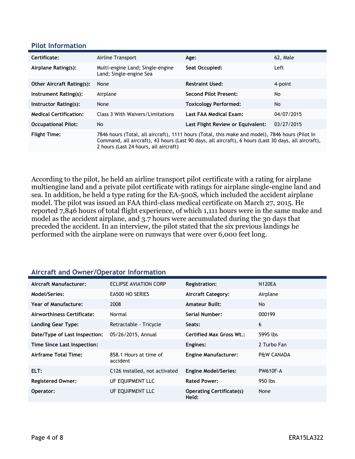#### **Pilot Information**

| Certificate:                     | Airline Transport                                                                                                                                                                                                                                | Age:                              | 62, Male   |
|----------------------------------|--------------------------------------------------------------------------------------------------------------------------------------------------------------------------------------------------------------------------------------------------|-----------------------------------|------------|
| Airplane Rating(s):              | Multi-engine Land; Single-engine<br>Land; Single-engine Sea                                                                                                                                                                                      | Seat Occupied:                    | Left       |
| <b>Other Aircraft Rating(s):</b> | None                                                                                                                                                                                                                                             | <b>Restraint Used:</b>            | 4-point    |
| Instrument Rating(s):            | Airplane                                                                                                                                                                                                                                         | <b>Second Pilot Present:</b>      | No         |
| Instructor Rating(s):            | None                                                                                                                                                                                                                                             | <b>Toxicology Performed:</b>      | No         |
| <b>Medical Certification:</b>    | Class 3 With Waivers/Limitations                                                                                                                                                                                                                 | Last FAA Medical Exam:            | 04/07/2015 |
| <b>Occupational Pilot:</b>       | No                                                                                                                                                                                                                                               | Last Flight Review or Equivalent: | 03/27/2015 |
| <b>Flight Time:</b>              | 7846 hours (Total, all aircraft), 1111 hours (Total, this make and model), 7846 hours (Pilot In<br>Command, all aircraft), 43 hours (Last 90 days, all aircraft), 6 hours (Last 30 days, all aircraft),<br>2 hours (Last 24 hours, all aircraft) |                                   |            |

According to the pilot, he held an airline transport pilot certificate with a rating for airplane multiengine land and a private pilot certificate with ratings for airplane single-engine land and sea. In addition, he held a type rating for the EA-500S, which included the accident airplane model. The pilot was issued an FAA third-class medical certificate on March 27, 2015. He reported 7,846 hours of total flight experience, of which 1,111 hours were in the same make and model as the accident airplane, and 3.7 hours were accumulated during the 30 days that preceded the accident. In an interview, the pilot stated that the six previous landings he performed with the airplane were on runways that were over 6,000 feet long.

### **Aircraft and Owner/Operator Information**

| Aircraft Manufacturer:        | ECLIPSE AVIATION CORP              | <b>Registration:</b>                     | <b>N120EA</b>         |
|-------------------------------|------------------------------------|------------------------------------------|-----------------------|
| Model/Series:                 | <b>EA500 NO SERIES</b>             | <b>Aircraft Category:</b>                | Airplane              |
| Year of Manufacture:          | 2008                               | <b>Amateur Built:</b>                    | No.                   |
| Airworthiness Certificate:    | Normal                             | Serial Number:                           | 000199                |
| <b>Landing Gear Type:</b>     | Retractable - Tricycle             | Seats:                                   | 6                     |
| Date/Type of Last Inspection: | 05/26/2015, Annual                 | <b>Certified Max Gross Wt.:</b>          | 5995 lbs              |
| Time Since Last Inspection:   |                                    | Engines:                                 | 2 Turbo Fan           |
| Airframe Total Time:          | 858.1 Hours at time of<br>accident | <b>Engine Manufacturer:</b>              | <b>P&amp;W CANADA</b> |
| ELT:                          | C126 installed, not activated      | <b>Engine Model/Series:</b>              | <b>PW610F-A</b>       |
| <b>Registered Owner:</b>      | UF EQUIPMENT LLC                   | <b>Rated Power:</b>                      | 950 lbs               |
| Operator:                     | UF EQUIPMENT LLC                   | <b>Operating Certificate(s)</b><br>Held: | None                  |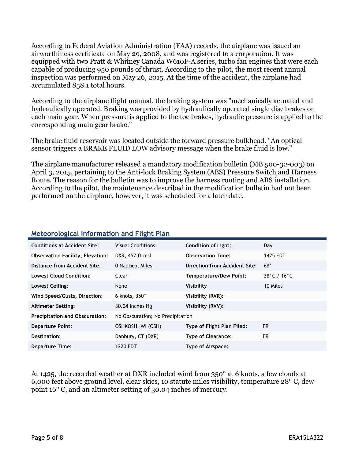According to Federal Aviation Administration (FAA) records, the airplane was issued an airworthiness certificate on May 29, 2008, and was registered to a corporation. It was equipped with two Pratt & Whitney Canada W610F-A series, turbo fan engines that were each capable of producing 950 pounds of thrust. According to the pilot, the most recent annual inspection was performed on May 26, 2015. At the time of the accident, the airplane had accumulated 858.1 total hours.

According to the airplane flight manual, the braking system was "mechanically actuated and hydraulically operated. Braking was provided by hydraulically operated single disc brakes on each main gear. When pressure is applied to the toe brakes, hydraulic pressure is applied to the corresponding main gear brake."

The brake fluid reservoir was located outside the forward pressure bulkhead. "An optical sensor triggers a BRAKE FLUID LOW advisory message when the brake fluid is low."

The airplane manufacturer released a mandatory modification bulletin (MB 500-32-003) on April 3, 2015, pertaining to the Anti-lock Braking System (ABS) Pressure Switch and Harness Route. The reason for the bulletin was to improve the harness routing and ABS installation. According to the pilot, the maintenance described in the modification bulletin had not been performed on the airplane, however, it was scheduled for a later date.

| <b>Conditions at Accident Site:</b>     | <b>Visual Conditions</b>         | <b>Condition of Light:</b>        | Day                              |
|-----------------------------------------|----------------------------------|-----------------------------------|----------------------------------|
| <b>Observation Facility, Elevation:</b> | DXR, 457 ft msl                  | <b>Observation Time:</b>          | 1425 EDT                         |
| Distance from Accident Site:            | 0 Nautical Miles                 | Direction from Accident Site:     | $68^\circ$                       |
| <b>Lowest Cloud Condition:</b>          | Clear                            | <b>Temperature/Dew Point:</b>     | $28^{\circ}$ C / 16 $^{\circ}$ C |
| Lowest Ceiling:                         | None                             | Visibility                        | 10 Miles                         |
| Wind Speed/Gusts, Direction:            | 6 knots, $350^\circ$             | Visibility (RVR):                 |                                  |
| <b>Altimeter Setting:</b>               | 30.04 inches Hg                  | Visibility (RVV):                 |                                  |
| <b>Precipitation and Obscuration:</b>   | No Obscuration; No Precipitation |                                   |                                  |
| <b>Departure Point:</b>                 | OSHKOSH, WI (OSH)                | <b>Type of Flight Plan Filed:</b> | <b>IFR</b>                       |
| Destination:                            | Danbury, CT (DXR)                | <b>Type of Clearance:</b>         | IFR.                             |
| <b>Departure Time:</b>                  | 1220 EDT                         | Type of Airspace:                 |                                  |

### **Meteorological Information and Flight Plan**

At 1425, the recorded weather at DXR included wind from 350° at 6 knots, a few clouds at 6,000 feet above ground level, clear skies, 10 statute miles visibility, temperature 28° C, dew point 16° C, and an altimeter setting of 30.04 inches of mercury.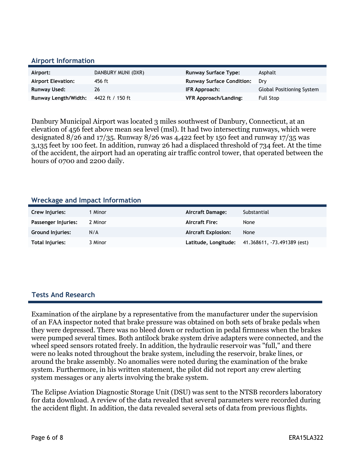#### **Airport Information**

| Airport:                  | DANBURY MUNI (DXR) | <b>Runway Surface Type:</b>      | Asphalt                   |
|---------------------------|--------------------|----------------------------------|---------------------------|
| <b>Airport Elevation:</b> | 456 ft             | <b>Runway Surface Condition:</b> | Drv                       |
| Runway Used:              | 26                 | IFR Approach:                    | Global Positioning System |
| Runway Length/Width:      | 4422 ft / 150 ft   | VFR Approach/Landing:            | Full Stop                 |

Danbury Municipal Airport was located 3 miles southwest of Danbury, Connecticut, at an elevation of 456 feet above mean sea level (msl). It had two intersecting runways, which were designated  $8/26$  and  $17/35$ . Runway  $8/26$  was 4,422 feet by 150 feet and runway 17/35 was 3,135 feet by 100 feet. In addition, runway 26 had a displaced threshold of 734 feet. At the time of the accident, the airport had an operating air traffic control tower, that operated between the hours of 0700 and 2200 daily.

#### **Wreckage and Impact Information**

| Crew Injuries:          | 1 Minor | Aircraft Damage:           | Substantial                 |
|-------------------------|---------|----------------------------|-----------------------------|
| Passenger Injuries:     | 2 Minor | <b>Aircraft Fire:</b>      | None                        |
| <b>Ground Injuries:</b> | N/A     | <b>Aircraft Explosion:</b> | None                        |
| Total Injuries:         | 3 Minor | Latitude, Longitude;       | 41.368611, -73.491389 (est) |

#### **Tests And Research**

Examination of the airplane by a representative from the manufacturer under the supervision of an FAA inspector noted that brake pressure was obtained on both sets of brake pedals when they were depressed. There was no bleed down or reduction in pedal firmness when the brakes were pumped several times. Both antilock brake system drive adapters were connected, and the wheel speed sensors rotated freely. In addition, the hydraulic reservoir was "full," and there were no leaks noted throughout the brake system, including the reservoir, brake lines, or around the brake assembly. No anomalies were noted during the examination of the brake system. Furthermore, in his written statement, the pilot did not report any crew alerting system messages or any alerts involving the brake system.

The Eclipse Aviation Diagnostic Storage Unit (DSU) was sent to the NTSB recorders laboratory for data download. A review of the data revealed that several parameters were recorded during the accident flight. In addition, the data revealed several sets of data from previous flights.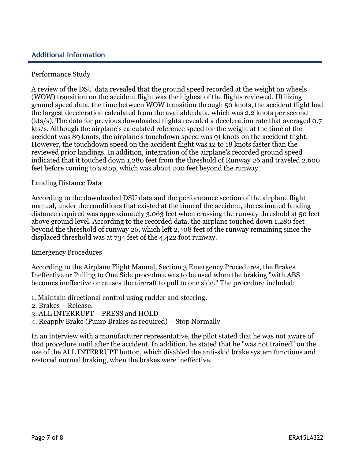### **Additional Information**

#### Performance Study

A review of the DSU data revealed that the ground speed recorded at the weight on wheels (WOW) transition on the accident flight was the highest of the flights reviewed. Utilizing ground speed data, the time between WOW transition through 50 knots, the accident flight had the largest deceleration calculated from the available data, which was 2.2 knots per second (kts/s). The data for previous downloaded flights revealed a deceleration rate that averaged 0.7 kts/s. Although the airplane's calculated reference speed for the weight at the time of the accident was 89 knots, the airplane's touchdown speed was 91 knots on the accident flight. However, the touchdown speed on the accident flight was 12 to 18 knots faster than the reviewed prior landings. In addition, integration of the airplane's recorded ground speed indicated that it touched down 1,280 feet from the threshold of Runway 26 and traveled 2,600 feet before coming to a stop, which was about 200 feet beyond the runway.

#### Landing Distance Data

According to the downloaded DSU data and the performance section of the airplane flight manual, under the conditions that existed at the time of the accident, the estimated landing distance required was approximately 3,063 feet when crossing the runway threshold at 50 feet above ground level. According to the recorded data, the airplane touched down 1,280 feet beyond the threshold of runway 26, which left 2,408 feet of the runway remaining since the displaced threshold was at 734 feet of the 4,422 foot runway.

#### Emergency Procedures

According to the Airplane Flight Manual, Section 3 Emergency Procedures, the Brakes Ineffective or Pulling to One Side procedure was to be used when the braking "with ABS becomes ineffective or causes the aircraft to pull to one side." The procedure included:

- 1. Maintain directional control using rudder and steering.
- 2. Brakes Release.
- 3. ALL INTERRUPT PRESS and HOLD
- 4. Reapply Brake (Pump Brakes as required) Stop Normally

In an interview with a manufacturer representative, the pilot stated that he was not aware of that procedure until after the accident. In addition, he stated that he "was not trained" on the use of the ALL INTERRUPT button, which disabled the anti-skid brake system functions and restored normal braking, when the brakes were ineffective.